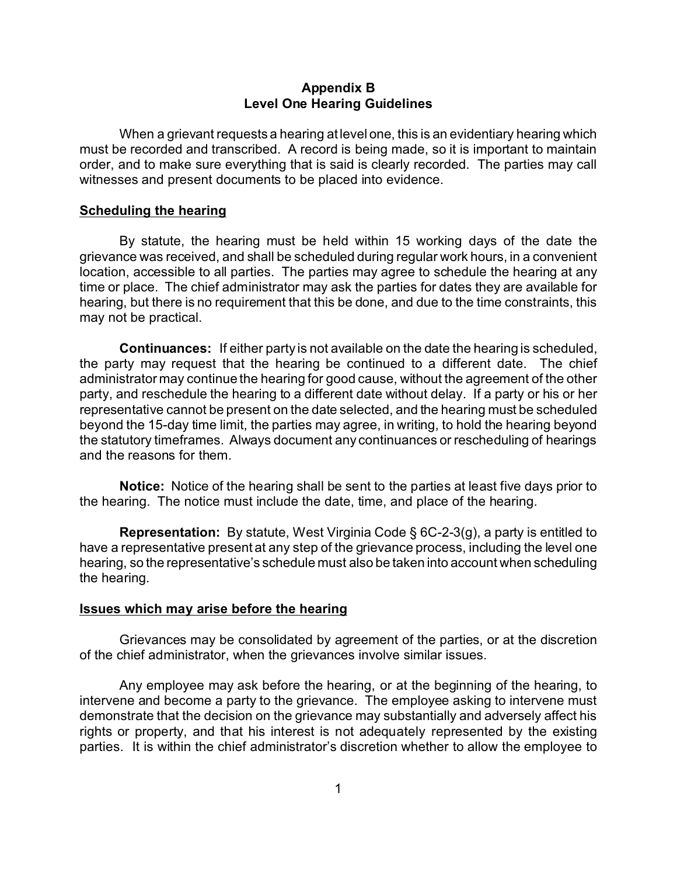## **Appendix B Level One Hearing Guidelines**

When a grievant requests a hearing at level one, this is an evidentiary hearing which must be recorded and transcribed. A record is being made, so it is important to maintain order, and to make sure everything that is said is clearly recorded. The parties may call witnesses and present documents to be placed into evidence.

### **Scheduling the hearing**

By statute, the hearing must be held within 15 working days of the date the grievance was received, and shall be scheduled during regular work hours, in a convenient location, accessible to all parties. The parties may agree to schedule the hearing at any time or place. The chief administrator may ask the parties for dates they are available for hearing, but there is no requirement that this be done, and due to the time constraints, this may not be practical.

**Continuances:** If either party is not available on the date the hearing is scheduled, the party may request that the hearing be continued to a different date. The chief administrator may continue the hearing for good cause, without the agreement of the other party, and reschedule the hearing to a different date without delay. If a party or his or her representative cannot be present on the date selected, and the hearing must be scheduled beyond the 15-day time limit, the parties may agree, in writing, to hold the hearing beyond the statutory timeframes. Always document any continuances or rescheduling of hearings and the reasons for them.

**Notice:** Notice of the hearing shall be sent to the parties at least five days prior to the hearing. The notice must include the date, time, and place of the hearing.

**Representation:** By statute, West Virginia Code § 6C-2-3(g), a party is entitled to have a representative present at any step of the grievance process, including the level one hearing, so the representative's schedule must also be taken into account when scheduling the hearing.

#### **Issues which may arise before the hearing**

Grievances may be consolidated by agreement of the parties, or at the discretion of the chief administrator, when the grievances involve similar issues.

Any employee may ask before the hearing, or at the beginning of the hearing, to intervene and become a party to the grievance. The employee asking to intervene must demonstrate that the decision on the grievance may substantially and adversely affect his rights or property, and that his interest is not adequately represented by the existing parties. It is within the chief administrator's discretion whether to allow the employee to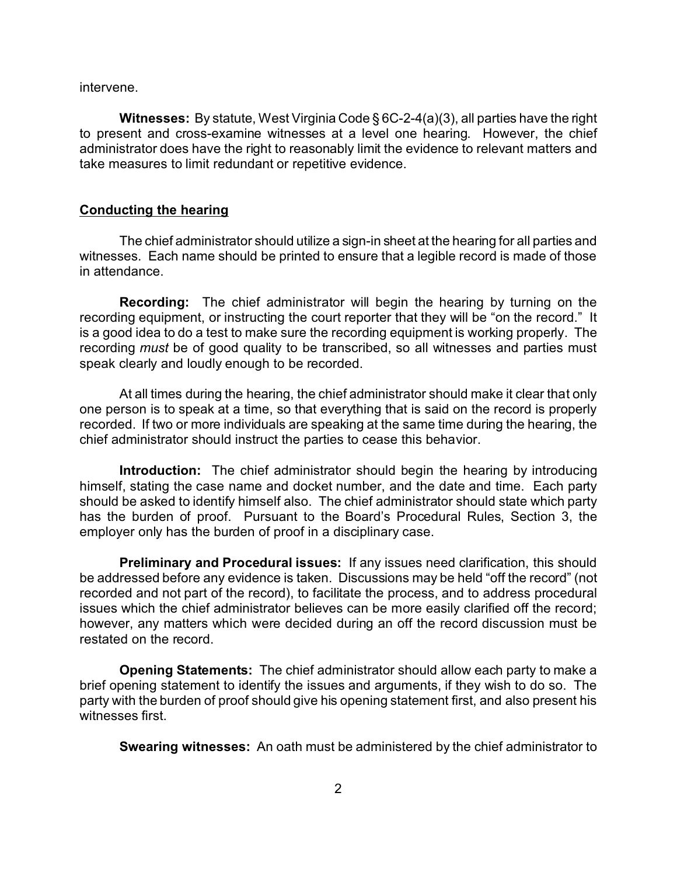intervene.

**Witnesses:** By statute, West Virginia Code § 6C-2-4(a)(3), all parties have the right to present and cross-examine witnesses at a level one hearing. However, the chief administrator does have the right to reasonably limit the evidence to relevant matters and take measures to limit redundant or repetitive evidence.

#### **Conducting the hearing**

The chief administrator should utilize a sign-in sheet at the hearing for all parties and witnesses. Each name should be printed to ensure that a legible record is made of those in attendance.

**Recording:** The chief administrator will begin the hearing by turning on the recording equipment, or instructing the court reporter that they will be "on the record." It is a good idea to do a test to make sure the recording equipment is working properly. The recording *must* be of good quality to be transcribed, so all witnesses and parties must speak clearly and loudly enough to be recorded.

At all times during the hearing, the chief administrator should make it clear that only one person is to speak at a time, so that everything that is said on the record is properly recorded. If two or more individuals are speaking at the same time during the hearing, the chief administrator should instruct the parties to cease this behavior.

**Introduction:** The chief administrator should begin the hearing by introducing himself, stating the case name and docket number, and the date and time. Each party should be asked to identify himself also. The chief administrator should state which party has the burden of proof. Pursuant to the Board's Procedural Rules, Section 3, the employer only has the burden of proof in a disciplinary case.

**Preliminary and Procedural issues:** If any issues need clarification, this should be addressed before any evidence is taken. Discussions may be held "off the record" (not recorded and not part of the record), to facilitate the process, and to address procedural issues which the chief administrator believes can be more easily clarified off the record; however, any matters which were decided during an off the record discussion must be restated on the record.

**Opening Statements:** The chief administrator should allow each party to make a brief opening statement to identify the issues and arguments, if they wish to do so. The party with the burden of proof should give his opening statement first, and also present his witnesses first.

**Swearing witnesses:** An oath must be administered by the chief administrator to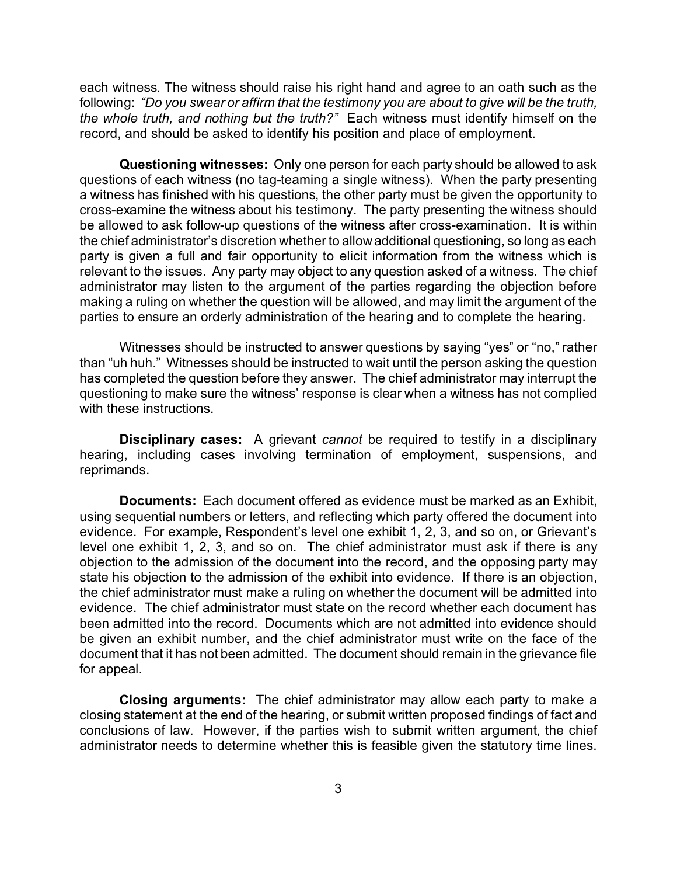each witness. The witness should raise his right hand and agree to an oath such as the following: *"Do you swear or affirm that the testimony you are about to give will be the truth, the whole truth, and nothing but the truth?"* Each witness must identify himself on the record, and should be asked to identify his position and place of employment.

**Questioning witnesses:** Only one person for each party should be allowed to ask questions of each witness (no tag-teaming a single witness). When the party presenting a witness has finished with his questions, the other party must be given the opportunity to cross-examine the witness about his testimony. The party presenting the witness should be allowed to ask follow-up questions of the witness after cross-examination. It is within the chief administrator's discretion whether to allow additional questioning, so long as each party is given a full and fair opportunity to elicit information from the witness which is relevant to the issues. Any party may object to any question asked of a witness. The chief administrator may listen to the argument of the parties regarding the objection before making a ruling on whether the question will be allowed, and may limit the argument of the parties to ensure an orderly administration of the hearing and to complete the hearing.

Witnesses should be instructed to answer questions by saying "yes" or "no," rather than "uh huh." Witnesses should be instructed to wait until the person asking the question has completed the question before they answer. The chief administrator may interrupt the questioning to make sure the witness' response is clear when a witness has not complied with these instructions.

**Disciplinary cases:** A grievant *cannot* be required to testify in a disciplinary hearing, including cases involving termination of employment, suspensions, and reprimands.

**Documents:** Each document offered as evidence must be marked as an Exhibit, using sequential numbers or letters, and reflecting which party offered the document into evidence. For example, Respondent's level one exhibit 1, 2, 3, and so on, or Grievant's level one exhibit 1, 2, 3, and so on. The chief administrator must ask if there is any objection to the admission of the document into the record, and the opposing party may state his objection to the admission of the exhibit into evidence. If there is an objection, the chief administrator must make a ruling on whether the document will be admitted into evidence. The chief administrator must state on the record whether each document has been admitted into the record. Documents which are not admitted into evidence should be given an exhibit number, and the chief administrator must write on the face of the document that it has not been admitted. The document should remain in the grievance file for appeal.

**Closing arguments:** The chief administrator may allow each party to make a closing statement at the end of the hearing, or submit written proposed findings of fact and conclusions of law. However, if the parties wish to submit written argument, the chief administrator needs to determine whether this is feasible given the statutory time lines.